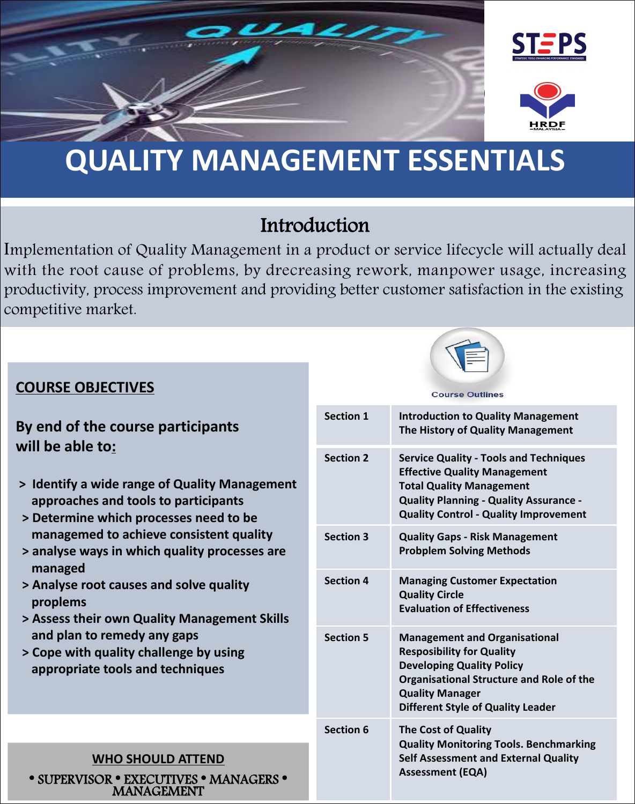

# **QUALITY MANAGEMENT ESSENTIALS**

### Introduction

Implementation of Quality Management in a product or service lifecycle will actually deal with the root cause of problems, by drecreasing rework, manpower usage, increasing productivity, process improvement and providing better customer satisfaction in the existing competitive market.



#### **COURSE OBJECTIVES**

#### **By end of the course participants will be able to:**

- **> Identify a wide range of Quality Management approaches and tools to participants**
- **> Determine which processes need to be managemed to achieve consistent quality**
- **> analyse ways in which quality processes are managed**
- **> Analyse root causes and solve quality proplems**
- **> Assess their own Quality Management Skills and plan to remedy any gaps**
- **> Cope with quality challenge by using appropriate tools and techniques**

#### **Course Outlines**

|  | <b>Section 1</b> | <b>Introduction to Quality Management</b><br>The History of Quality Management                                                                                                                                           |
|--|------------------|--------------------------------------------------------------------------------------------------------------------------------------------------------------------------------------------------------------------------|
|  | <b>Section 2</b> | <b>Service Quality - Tools and Techniques</b><br><b>Effective Quality Management</b><br><b>Total Quality Management</b><br><b>Quality Planning - Quality Assurance -</b><br><b>Quality Control - Quality Improvement</b> |
|  | <b>Section 3</b> | <b>Quality Gaps - Risk Management</b><br><b>Probplem Solving Methods</b>                                                                                                                                                 |
|  | <b>Section 4</b> | <b>Managing Customer Expectation</b><br><b>Quality Circle</b><br><b>Evaluation of Effectiveness</b>                                                                                                                      |
|  | <b>Section 5</b> | <b>Management and Organisational</b><br><b>Resposibility for Quality</b><br><b>Developing Quality Policy</b><br>Organisational Structure and Role of the<br><b>Quality Manager</b><br>Different Style of Quality Leader  |
|  | <b>Section 6</b> | <b>The Cost of Quality</b><br><b>Quality Monitoring Tools. Benchmarking</b><br><b>Self Assessment and External Quality</b><br><b>Assessment (EQA)</b>                                                                    |

# **WHO SHOULD ATTEND<br>
\* SUPERVISOR \* EXECUTIVES \* MANAGERS \* MANAGEMENT**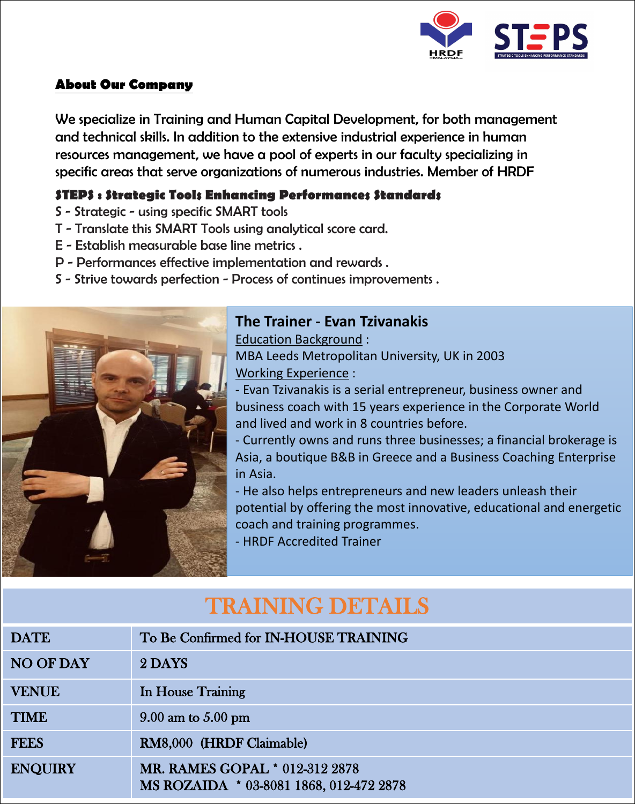

#### **About Our Company**

We specialize in Training and Human Capital Development, for both management and technical skills. In addition to the extensive industrial experience in human resources management, we have a pool of experts in our faculty specializing in specific areas that serve organizations of numerous industries. Member of HRDF

#### **STEPS : Strategic Tools Enhancing Performances Standards**

- S Strategic using specific SMART tools
- T Translate this SMART Tools using analytical score card.
- E Establish measurable base line metrics .
- 
- P Performances effective implementation and rewards .<br>S Strive towards perfection Process of continues improvements .



#### **The Trainer - Evan Tzivanakis**

Education Background : MBA Leeds Metropolitan University, UK in 2003 Working Experience :

- Evan Tzivanakis is a serial entrepreneur, business owner and business coach with 15 years experience in the Corporate World and lived and work in 8 countries before.

- Currently owns and runs three businesses; a financial brokerage is Asia, a boutique B&B in Greece and a Business Coaching Enterprise in Asia.

- He also helps entrepreneurs and new leaders unleash their potential by offering the most innovative, educational and energetic coach and training programmes.

- HRDF Accredited Trainer

## TRAINING DETAILS

| <b>DATE</b>      | To Be Confirmed for IN-HOUSE TRAINING                                     |
|------------------|---------------------------------------------------------------------------|
| <b>NO OF DAY</b> | 2 DAYS                                                                    |
| <b>VENUE</b>     | In House Training                                                         |
| <b>TIME</b>      | $9.00$ am to $5.00$ pm                                                    |
| <b>FEES</b>      | RM8,000 (HRDF Claimable)                                                  |
| <b>ENQUIRY</b>   | MR. RAMES GOPAL * 012-312 2878<br>MS ROZAIDA * 03-8081 1868, 012-472 2878 |